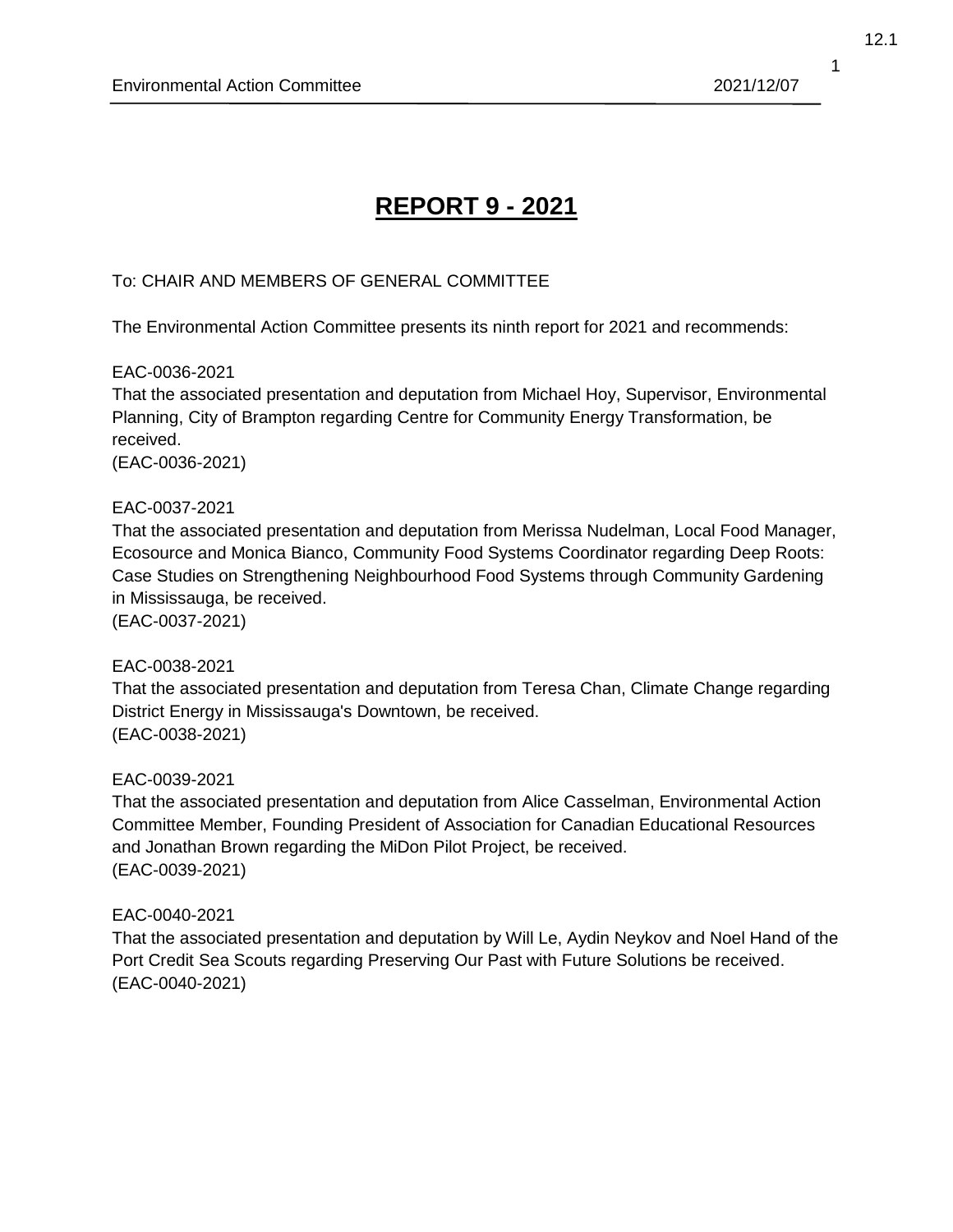# **REPORT 9 - 2021**

# To: CHAIR AND MEMBERS OF GENERAL COMMITTEE

The Environmental Action Committee presents its ninth report for 2021 and recommends:

#### EAC-0036-2021

That the associated presentation and deputation from Michael Hoy, Supervisor, Environmental Planning, City of Brampton regarding Centre for Community Energy Transformation, be received.

(EAC-0036-2021)

#### EAC-0037-2021

That the associated presentation and deputation from Merissa Nudelman, Local Food Manager, Ecosource and Monica Bianco, Community Food Systems Coordinator regarding Deep Roots: Case Studies on Strengthening Neighbourhood Food Systems through Community Gardening in Mississauga, be received.

(EAC-0037-2021)

## EAC-0038-2021

That the associated presentation and deputation from Teresa Chan, Climate Change regarding District Energy in Mississauga's Downtown, be received. (EAC-0038-2021)

# EAC-0039-2021

That the associated presentation and deputation from Alice Casselman, Environmental Action Committee Member, Founding President of Association for Canadian Educational Resources and Jonathan Brown regarding the MiDon Pilot Project, be received. (EAC-0039-2021)

## EAC-0040-2021

That the associated presentation and deputation by Will Le, Aydin Neykov and Noel Hand of the Port Credit Sea Scouts regarding Preserving Our Past with Future Solutions be received. (EAC-0040-2021)

1